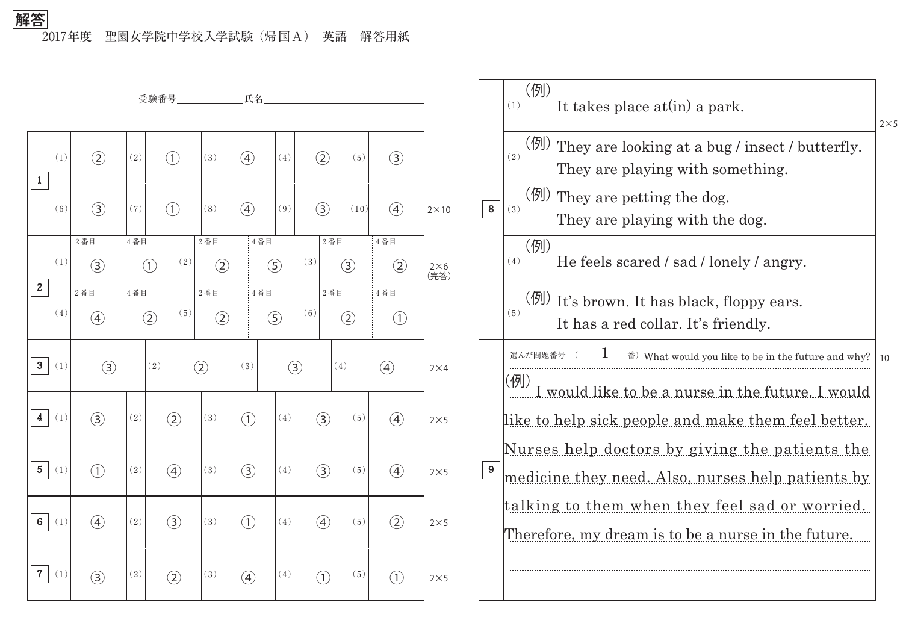2017年度 聖園女学院中学校入学試験(帰国A) 英語 解答用紙 **解答**

|                         |                   |               |                          |                                                |                   |               |               |                  | 受験番号_______________氏名____________________ |                      |               |      |                                   |                    |  |
|-------------------------|-------------------|---------------|--------------------------|------------------------------------------------|-------------------|---------------|---------------|------------------|-------------------------------------------|----------------------|---------------|------|-----------------------------------|--------------------|--|
|                         |                   |               |                          |                                                |                   |               |               |                  |                                           |                      |               |      |                                   |                    |  |
| $\mathbf{1}$            | (1)               | $\circled{2}$ | (2)                      |                                                | $\bigodot$        | (3)           |               | $\circled{4}$    | (4)                                       |                      | $\circled{2}$ | (5)  | $\circled{3}$                     |                    |  |
|                         | (6)               | $\circled{3}$ | (7)                      |                                                | $\bigcirc$        | (8)           | $\circled{4}$ |                  | (9)                                       | $\circled{3}$        |               | (10) | $\circled{4}$                     | $2\times10$        |  |
|                         |                   | $2$ 番目        | 4番目                      |                                                |                   | $2$ 番目        |               | 4番目              |                                           |                      | $2$ 番目        |      | 4番目                               |                    |  |
| $\mathbf{2}$            | (1)               | $\circled{3}$ |                          | $\left( \begin{matrix} 1 \end{matrix} \right)$ | (2)               |               | $\circled{2}$ |                  | $\circ$                                   | (3)<br>$\circled{3}$ |               |      | $\circled{2}$                     | $2\times6$<br>(完答) |  |
|                         |                   | $2$ 番目        |                          | 4番目                                            |                   | $2$ 番目        |               | 4番目              |                                           | $2$ 番目               |               |      | 4番目                               |                    |  |
|                         | (4)               | $\bigcirc$    | $\circled{2}$            |                                                | (5)               |               | $\circled{2}$ |                  | $\circled{5}$                             | (6)                  | $\circled{2}$ |      | $\begin{pmatrix} 1 \end{pmatrix}$ |                    |  |
| 3                       | (1)               | $\circled{3}$ |                          | (2)                                            |                   | $\circled{2}$ |               | (3)              | $\circled{3}$                             |                      | (4)           |      | $\circled{4}$                     | $2\times4$         |  |
| $\overline{\mathbf{4}}$ | (1)               | $\circled{3}$ | (2)                      |                                                | $\circled{2}$     | (3)           |               | $\bigodot$       | (4)                                       |                      | $\circled{3}$ | (5)  | $\circled{4}$                     | $2\times5$         |  |
| $5\phantom{.0}$         | (1)               | $\bigodot$    | (2)                      |                                                | $\left( 4\right)$ | (3)           |               | $\circled{3}$    | (4)                                       |                      | $\circled{3}$ | (5)  | $\circled{4}$                     | $2\times5$         |  |
| $\boldsymbol{6}$        | (1)               | $\circled{4}$ | $\left( \, 2 \, \right)$ |                                                | $\circled{3}$     | (3)           |               | $\bigodot$       | $\left(\,4\,\right)$                      |                      | $\bigcirc$    | (5)  | $\circled{2}$                     | $2\times 5$        |  |
| $\overline{7}$          | $\left( 1\right)$ | $\circled{3}$ | $\left( \, 2 \, \right)$ |                                                | $\circled{2}$     | $(3)$         |               | $\bigcircled{4}$ | $\left(\,4\,\right)$                      |                      | $\bigodot$    | (5)  | $\bigodot$                        | $2\times 5$        |  |

|   | (1)                                                                                                                                                                                                                                                                                  | (例)<br>It takes place at (in) a park.                                                         | $2\times 5$ |  |  |  |  |  |  |
|---|--------------------------------------------------------------------------------------------------------------------------------------------------------------------------------------------------------------------------------------------------------------------------------------|-----------------------------------------------------------------------------------------------|-------------|--|--|--|--|--|--|
|   | (2)                                                                                                                                                                                                                                                                                  | (例)<br>They are looking at a bug / insect / butterfly.<br>They are playing with something.    |             |  |  |  |  |  |  |
| 8 | (3)                                                                                                                                                                                                                                                                                  | (例) They are petting the dog.<br>They are playing with the dog.                               |             |  |  |  |  |  |  |
|   | (4)                                                                                                                                                                                                                                                                                  | (例)<br>He feels scared / sad / lonely / angry.                                                |             |  |  |  |  |  |  |
|   | (5)                                                                                                                                                                                                                                                                                  | $(\frac{1}{2})$ It's brown. It has black, floppy ears.<br>It has a red collar. It's friendly. |             |  |  |  |  |  |  |
|   | $\perp$<br>選んだ問題番号<br>$\mathbb{F}$ ) What would you like to be in the future and why?                                                                                                                                                                                                |                                                                                               |             |  |  |  |  |  |  |
| 9 | (例)<br>would like to be a nurse in the future. I would<br><u>like to help sick people and make them feel better.</u><br><u>Nurses help doctors by giving the patients the</u><br>medicine they need. Also, nurses help patients by<br>talking to them when they feel sad or worried. |                                                                                               |             |  |  |  |  |  |  |
|   | Therefore, my dream is to be a nurse in the future.                                                                                                                                                                                                                                  |                                                                                               |             |  |  |  |  |  |  |